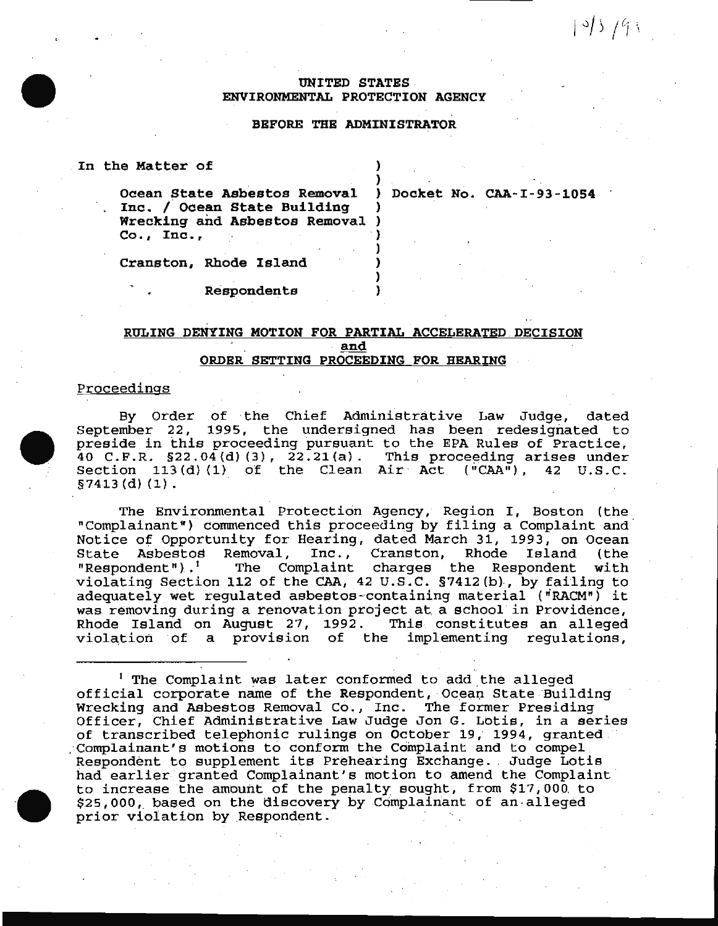$195/91$ 

## UNITED STATES . ENVIRONMENTAL PROTECTION AGENCY

### BEFORE THE ADMINISTRATOR

)

) ) ) )

|  | In the Matter of |  |  |  |  |  |
|--|------------------|--|--|--|--|--|
|  |                  |  |  |  |  |  |

Ocean State Asbestos Removal ) Docket No. CAA-I-93-1054 Inc. / Ocean State Building Wrecking and Asbestos Removal )  $Co., Inc.,$ 

| Cranston, Rhode Island |  |
|------------------------|--|

Respondents

# RULING DENYING MOTION FOR PARTIAL ACCELERATED DECISION and ORDER SETTING PROCEEDING FOR HEARING

#### Proceedings

By Order of the Chief Administrative Law Judge, dated September 22, 1995, the undersigned has been redesignated to preside in this proceeding pursuant to the EPA Rules of Practice,  $40$  C.F.R. §22.04(d)(3),  $22.21$ (a). This proceeding arises under Section  $113(d)$  (1) of the Clean Air Act ("CAA"), 42 U.S.C. §7413 (d) (1).

The Environmental Protection Agency, Region I, Boston (the "Complainant") commenced this proceeding by filing a Complaint and Notice of Opportunity for Hearing, dated March 31, 1993, on Ocean State Asbestos Removal, Inc., Cranston, Rhode Island (the "Respondent").<sup>1</sup> The Complaint charges the Respondent with violating Section 112 of the CAA, 42 U.S. C. §7412 (b), by failing to adequately wet regulated asbestos-containing material ("RACM") it was removing during a renovation project at a school in Providence,<br>Rhode Island on August 27, 1992. This constitutes an alleged Rhode Island on August 27, 1992. violation of a provision of the implementing regulations,

<sup>1</sup> The Complaint was later conformed to add the alleged official corporate name of the Respondent, Ocean State Building Wrecking and Asbestos Removal Co., Inc. The former Presiding Officer, Chief Administrative Law Judge Jon G. Lotis, in a series of transcribed telephonic rulings on October 19, 1994, granted.· : complainant's motions to conform the Complaint and to compel Respondent to supplement its Prehearing Exchange. Judge Lotis had earlier granted Complainant's motion to amend the Complaint to increase the amount of the penalty sought, from \$17,000. to  $$25,000$ , based on the discovery by Complainant of an alleged prior violation by Respondent.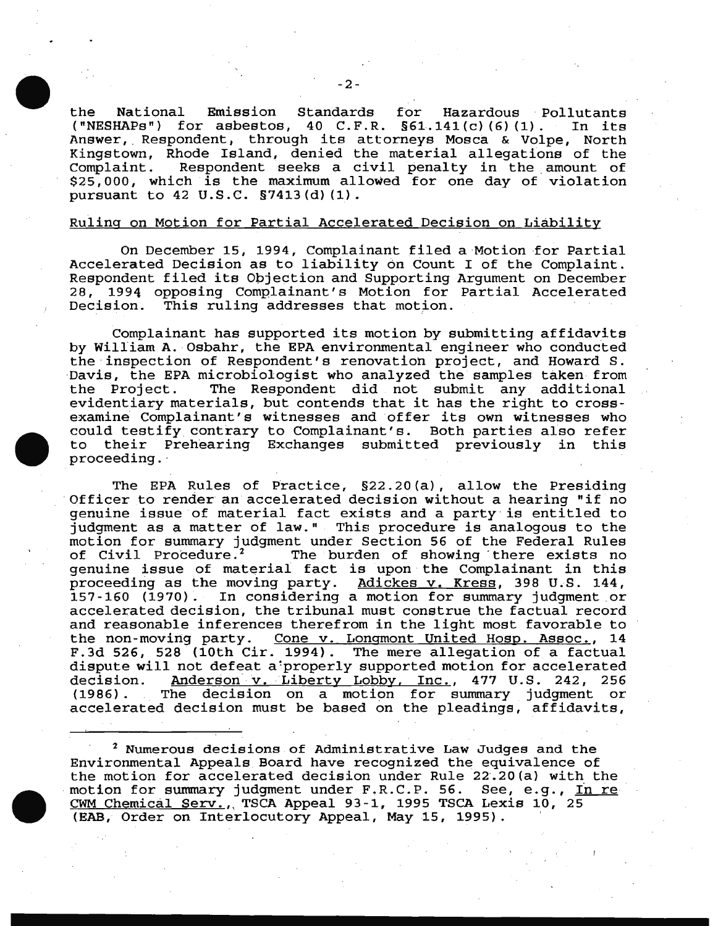the National Emission Standards for Hazardous Pollutants<br>("NESHAPs") for asbestos. 40 C.F.R. §61.141(c)(6)(1). In its for asbestos, 40 C.F.R.  $\S 61.141(c) (6) (1)$ . Answer, Respondent, through its attorneys Mosca & Volpe, North Kingstown, Rhode Island, denied the material allegations of the<br>Complaint. Respondent seeks a civil penalty in the amount of Respondent seeks a civil penalty in the amount of  $$25,000$ , which is the maximum allowed for one day of violation pursuant to 42 U.S.C. §7413(d) (1).

#### Ruling on Motion for Partial Accelerated Decision on Liability

On December 15, 1994, Complainant filed a Motion for Partial Accelerated Decision as to liability on Count I of the Complaint. Respondent filed its Objection and Supporting Argument on December 28, 1994 opposing Complainant's Motion for Partial Accelerated Decision. This ruling addresses that motion.

Complainant has supported its motion by submitting affidavits by William A. Osbahr, the EPA environmental engineer who conducted the inspection of Respondent's renovation project, and Howard S. Davis, the EPA microbiologist who analyzed the samples taken from The Respondent did not submit any additional evidentiary materials, but contends that it has the right to crossexamine Complainant's witnesses and offer its own witnesses who could testify contrary to Complainant's. Both parties also refer to their Prehearing Exchanges submitted previously in this proceeding. ·

The EPA Rules of Practice, §22. 20 (a) , allow the Presiding Officer to render an accelerated decision without a hearing "if no genuine issue of material fact exists and a party is entitled to judgment as a matter of law." This procedure is analogous to the motion for summary judgment under Section 56 of the Federal Rules<br>of Civil Procedure.<sup>2</sup> The burden of showing there exists no The burden of showing there exists no genuine issue of material fact is upon the Complainant in this proceeding as the moving party. Adickes v. Kress, 398 U.S. 144,<br>157-160 (1970). In considering a motion for summary judgment or In considering a motion for summary judgment or accelerated decision, the tribunal must construe the factual record and reasonable inferences therefrom in the light most favorable to<br>the non-moving party. Cone v. Longmont United Hosp. Assoc., 14 Cone v. Longmont United Hosp. Assoc., 14 F.3d 526, 528 (10th Cir. 1994). The mere allegation of a factual dispute will not defeat a properly supported motion for accelerated decision. Anderson v. Liberty Lobby, Inc., 477 U.S. 242, 256 (1986) . The decision on a motion for summary judgment or accelerated decision must be based on the pleadings, affidavits,

 $^2$  Numerous decisions of Administrative Law Judges and the Environmental Appeals Board have recognized the equivalence of the motion for accelerated decision under Rule 22.20(a) with the motion for summary judgment under F.R.C.P. 56. See, e.g., In re CWM Chemical Serv., TSCA Appeal 93-1, 1995 TSCA Lexis 10, 25 (EAB, Order on Interlocutory Appeal, May 15, 1995).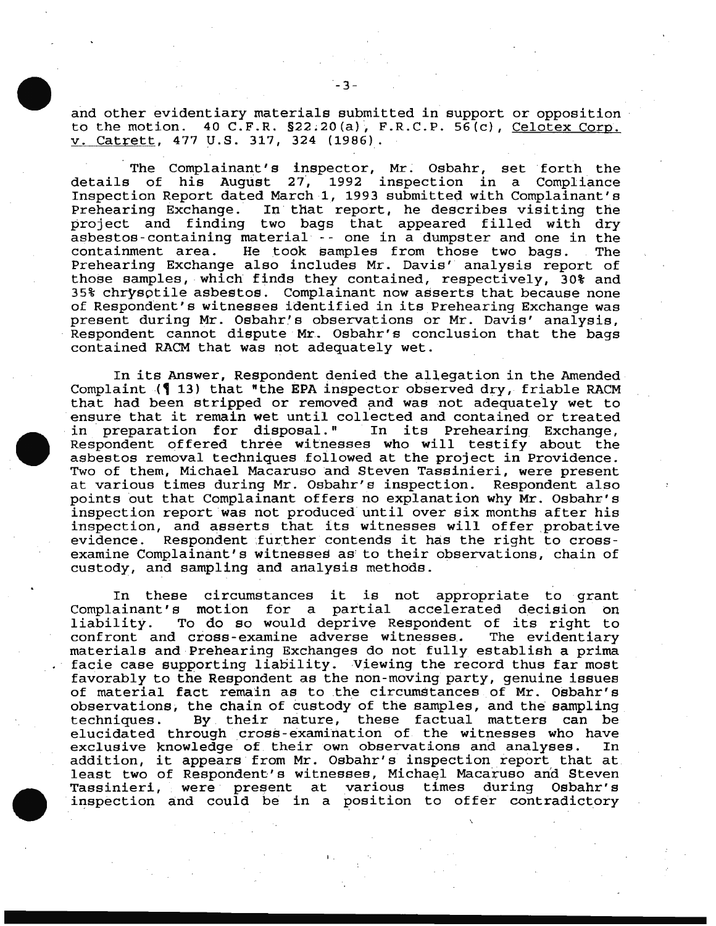and other evidentiary materials submitted in support or opposition to the motion.  $40$  C.F.R.  $$22.20(a)$ , F.R.C.P. 56(c), Celotex Corp. v. Catrett, 477 U.S. 317, 324 (1986).

The Complainant's inspector, Mr. Osbahr, set forth the<br>details of his August 27, 1992 inspection in a Compliance of his August 27, 1992 inspection in a Compliance Inspection Report dated March l, 1993 submitted with Complainant's Prehearing Exchange. In that report, he describes visiting the project and finding two bags that appeared filled with dry asbestos-containing material -- one in a dumpster and one in the<br>containment area. He took samples from those two bags. The He took samples from those two bags. The Prehearing Exchange also includes Mr. Davis' analysis report of those samples, which finds they contained, respectively, 30% and 35% chrysotile asbestos. Complainant now asserts that because none of Respondent's witnesses identified in its Prehearing Exchange was present during Mr. Osbahr's observations or Mr. Davis' analysis, Respondent cannot dispute Mr. Osbahr's conclusion that the bags contained RACM that was not adequately wet.

In its Answer, Respondent denied the allegation in the Amended Complaint  $($   $\vert$  13) that "the EPA inspector observed dry, friable RACM that had been stripped or removed and was not adequately wet to ensure that it remain wet until collected and contained or treated in preparation for disposal." In its Prehearing Exchange, Respondent offered three witnesses who will testify about the asbestos removal techniques followed at the project in Providence. Two of them, Michael Macaruso and Steven Tassinieri, were present at various times during Mr. Osbahr's inspection. Respondent also points out that Complainant offers no explanation why Mr. Osbahr's inspection report was not produced until over six months after his inspection, and asserts that its witnesses will offer probative evidence. Respondent further contends it has the right to crossexamine Complainant's witnesses as' to their observations, chain of custody, and sampling and analysis methods.

In these circumstances it is not appropriate to grant Complainant's motion for a partial accelerated decision on liability. To do so would deprive Respondent of its right to confront and cross-examine adverse witnesses. The evidentiary confront and cross-examine adverse witnesses. materials and Prehearing Exchanges do not fully establish a prima facie case supporting liability. Viewing the record thus far most favorably to the Respondent as the non-moving party, genuine issues of material fact remain as to the circumstances of Mr. Osbahr's observations, the chain of custody of the samples, and the sampling<br>techniques. By their nature, these factual matters can be By their nature, these factual matters can be elucidated through cross-examination of the witnesses who have<br>exclusive knowledge of their own observations and analyses. In exclusive knowledge of their own observations and analyses. addition, it appears from Mr. Osbahr's inspection report that at least two of Respondent's witnesses, Michael Macaruso and Steven<br>Tassinieri, were present at various times during Osbahr's inspection and could be in a position to offer contradictory

I .

............................. \_\_\_\_\_\_\_\_\_\_\_\_\_\_ \_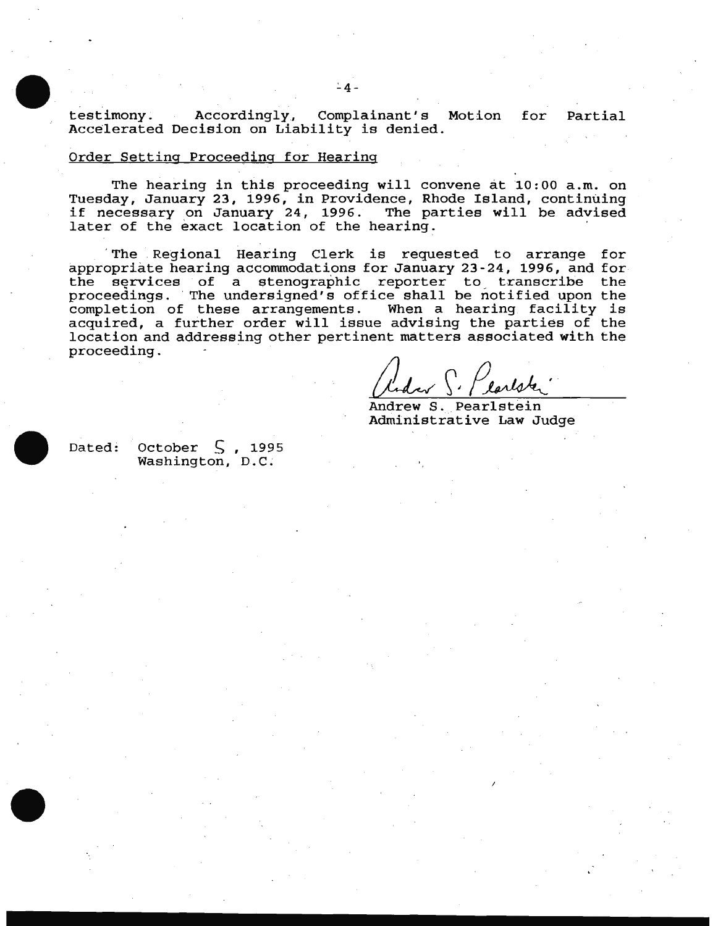testimony. Accordingly, Complainant's Motion for Partial Accalerated Decision on Liability is denied.

### Order Setting Proceeding for Hearing

The hearing in this proceeding will convene at 10:00 a.m. on Tuesday, January 23, i996, in Providence, Rhode Island, continuing if necessary on January 24, 1996. The parties will be advised later of the exact location of the hearing.

 The . Regional Hearing Clerk is requested to arrange for appropriate hearing accommodations for January 23-24, 1996, and for the services of a stenographic reporter to transcribe the proceedings. The undersigned's office shall be notified upon the completion of these arrangements. When a hearing facility is acquired, a further order will issue advising the parties of the location and addressing other pertinent matters associated with the proceeding. ·

Andrew S. Plarlater

Administrative Law Judge

Dated: October  $\zeta$ , 1995 Washington, D.C.